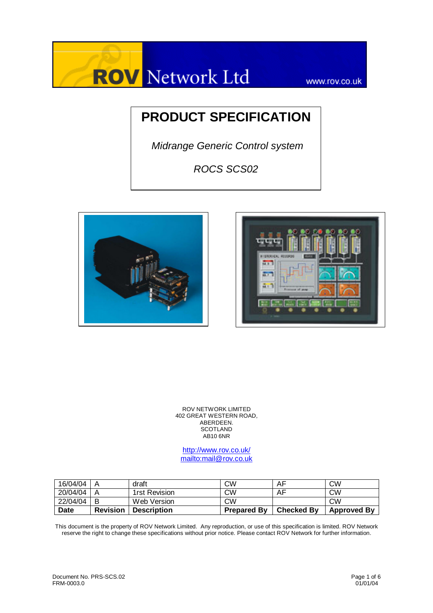

www.rov.co.uk

# **PRODUCT SPECIFICATION**

 *Midrange Generic Control system* 

*ROCS SCS02*





ROV NETWORK LIMITED 402 GREAT WESTERN ROAD, ABERDEEN. **SCOTLAND**  $AB10$  6NR

http://www.rov.co.uk/ mailto:mail@rov.co.uk

| 16/04/04    |                 | draft              | СW                 | AF                | CW                 |
|-------------|-----------------|--------------------|--------------------|-------------------|--------------------|
| 20/04/04    |                 | 1rst Revision      | CW                 | AF                | CW                 |
| 22/04/04    | В               | Web Version        | CW                 |                   | CW                 |
| <b>Date</b> | <b>Revision</b> | <b>Description</b> | <b>Prepared By</b> | <b>Checked By</b> | <b>Approved By</b> |

This document is the property of ROV Network Limited. Any reproduction, or use of this specification is limited. ROV Network reserve the right to change these specifications without prior notice. Please contact ROV Network for further information.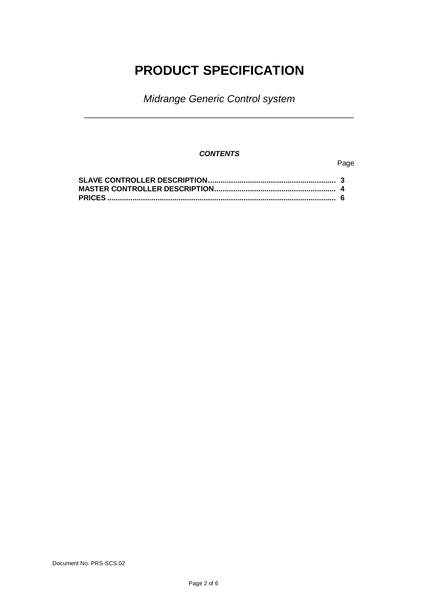# **PRODUCT SPECIFICATION**

*Midrange Generic Control system* **\_\_\_\_\_\_\_\_\_\_\_\_\_\_\_\_\_\_\_\_\_\_\_\_\_\_\_\_\_\_\_\_\_\_\_\_\_**

### *CONTENTS*

### Page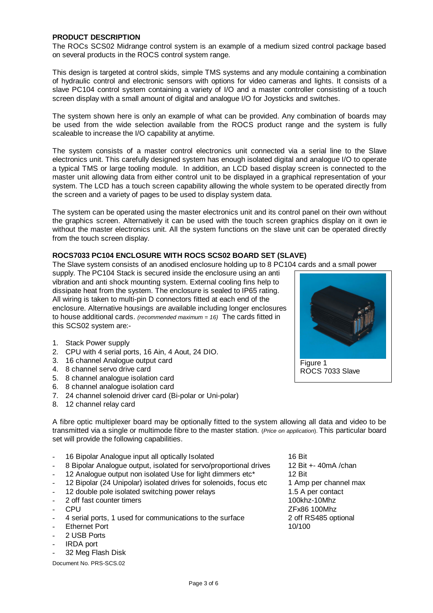#### **PRODUCT DESCRIPTION**

The ROCs SCS02 Midrange control system is an example of a medium sized control package based on several products in the ROCS control system range.

This design is targeted at control skids, simple TMS systems and any module containing a combination of hydraulic control and electronic sensors with options for video cameras and lights. It consists of a slave PC104 control system containing a variety of I/O and a master controller consisting of a touch screen display with a small amount of digital and analogue I/O for Joysticks and switches.

The system shown here is only an example of what can be provided. Any combination of boards may be used from the wide selection available from the ROCS product range and the system is fully scaleable to increase the I/O capability at anytime.

The system consists of a master control electronics unit connected via a serial line to the Slave electronics unit. This carefully designed system has enough isolated digital and analogue I/O to operate a typical TMS or large tooling module. In addition, an LCD based display screen is connected to the master unit allowing data from either control unit to be displayed in a graphical representation of your system. The LCD has a touch screen capability allowing the whole system to be operated directly from the screen and a variety of pages to be used to display system data.

The system can be operated using the master electronics unit and its control panel on their own without the graphics screen. Alternatively it can be used with the touch screen graphics display on it own ie without the master electronics unit. All the system functions on the slave unit can be operated directly from the touch screen display.

#### **ROCS7033 PC104 ENCLOSURE WITH ROCS SCS02 BOARD SET (SLAVE)**

The Slave system consists of an anodised enclosure holding up to 8 PC104 cards and a small power

supply. The PC104 Stack is secured inside the enclosure using an anti vibration and anti shock mounting system. External cooling fins help to dissipate heat from the system. The enclosure is sealed to IP65 rating. All wiring is taken to multi-pin D connectors fitted at each end of the enclosure. Alternative housings are available including longer enclosures to house additional cards. *(recommended maximum = 16)* The cards fitted in this SCS02 system are:-

- 1. Stack Power supply
- 2. CPU with 4 serial ports, 16 Ain, 4 Aout, 24 DIO.
- 3. 16 channel Analogue output card
- 4. 8 channel servo drive card
- 5. 8 channel analogue isolation card
- 6. 8 channel analogue isolation card
- 7. 24 channel solenoid driver card (Bi-polar or Uni-polar)
- 8. 12 channel relay card

A fibre optic multiplexer board may be optionally fitted to the system allowing all data and video to be transmitted via a single or multimode fibre to the master station. (*Price on application*). This particular board set will provide the following capabilities.

- 16 Bipolar Analogue input all optically Isolated 16 Bit
- 8 Bipolar Analogue output, isolated for servo/proportional drives 12 Bit +- 40mA /chan
- 12 Analogue output non isolated Use for light dimmers etc\* 12 Bit
- 12 Bipolar (24 Unipolar) isolated drives for solenoids, focus etc 1 Amp per channel max
- 12 double pole isolated switching power relays 1.5 A per contact
- 2 off fast counter timers 2 of the 100khz-10Mhz
- 
- 4 serial ports, 1 used for communications to the surface 2 off RS485 optional
- Ethernet Port 10/100
- 2 USB Ports
- IRDA port
- 32 Meg Flash Disk

Document No. PRS-SCS.02

- CPU ZFx86 100Mhz

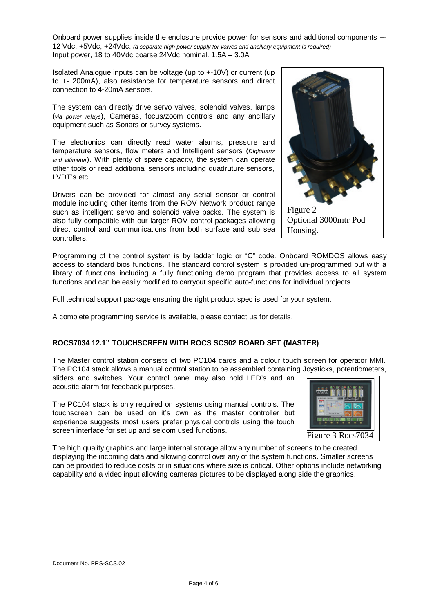Onboard power supplies inside the enclosure provide power for sensors and additional components +- 12 Vdc, +5Vdc, +24Vdc. *(a separate high power supply for valves and ancillary equipment is required)* Input power, 18 to 40Vdc coarse 24Vdc nominal. 1.5A – 3.0A

Isolated Analogue inputs can be voltage (up to +-10V) or current (up to +- 200mA), also resistance for temperature sensors and direct connection to 4-20mA sensors.

The system can directly drive servo valves, solenoid valves, lamps (*via power relays*), Cameras, focus/zoom controls and any ancillary equipment such as Sonars or survey systems.

The electronics can directly read water alarms, pressure and temperature sensors, flow meters and Intelligent sensors (*Digiquartz and altimeter*). With plenty of spare capacity, the system can operate other tools or read additional sensors including quadruture sensors, LVDT's etc.

Drivers can be provided for almost any serial sensor or control module including other items from the ROV Network product range such as intelligent servo and solenoid valve packs. The system is also fully compatible with our larger ROV control packages allowing direct control and communications from both surface and sub sea controllers.



Programming of the control system is by ladder logic or "C" code. Onboard ROMDOS allows easy access to standard bios functions. The standard control system is provided un-programmed but with a library of functions including a fully functioning demo program that provides access to all system functions and can be easily modified to carryout specific auto-functions for individual projects.

Full technical support package ensuring the right product spec is used for your system.

A complete programming service is available, please contact us for details.

## **ROCS7034 12.1" TOUCHSCREEN WITH ROCS SCS02 BOARD SET (MASTER)**

The Master control station consists of two PC104 cards and a colour touch screen for operator MMI. The PC104 stack allows a manual control station to be assembled containing Joysticks, potentiometers, sliders and switches. Your control panel may also hold LED's and an

acoustic alarm for feedback purposes.

The PC104 stack is only required on systems using manual controls. The touchscreen can be used on it's own as the master controller but experience suggests most users prefer physical controls using the touch screen interface for set up and seldom used functions.



The high quality graphics and large internal storage allow any number of screens to be created displaying the incoming data and allowing control over any of the system functions. Smaller screens can be provided to reduce costs or in situations where size is critical. Other options include networking capability and a video input allowing cameras pictures to be displayed along side the graphics.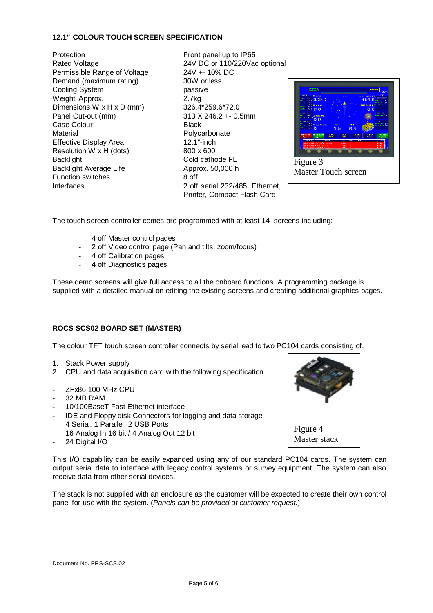## **12.1" COLOUR TOUCH SCREEN SPECIFICATION**

Protection **Front panel up to IP65** Permissible Range of Voltage 24V +- 10% DC Demand (maximum rating) 30W or less Cooling System **passive** Weight Approx. 2.7kg Dimensions W x H x D (mm) 326.4\*259.6\*72.0 Panel Cut-out (mm) 313 X 246.2 +- 0.5mm Case Colour **Black** Material Material Material Muslim Polycarbonate Effective Display Area 12.1"-inch Resolution W  $x$  H (dots) 800  $x$  600 Backlight **Cold cathode FL** Backlight Average Life Approx. 50,000 h Function switches 8 off

Rated Voltage 24V DC or 110/220Vac optional Interfaces 2 off serial 232/485, Ethernet, Printer, Compact Flash Card



The touch screen controller comes pre programmed with at least 14 screens including: -

- 4 off Master control pages
- 2 off Video control page (Pan and tilts, zoom/focus)
- 4 off Calibration pages
- 4 off Diagnostics pages

These demo screens will give full access to all the onboard functions. A programming package is supplied with a detailed manual on editing the existing screens and creating additional graphics pages.

## **ROCS SCS02 BOARD SET (MASTER)**

The colour TFT touch screen controller connects by serial lead to two PC104 cards consisting of.

- 1. Stack Power supply
- 2. CPU and data acquisition card with the following specification.
- ZFx86 100 MHz CPU
- 32 MB RAM
- 10/100BaseT Fast Ethernet interface
- IDE and Floppy disk Connectors for logging and data storage
- 4 Serial, 1 Parallel, 2 USB Ports
- 16 Analog In 16 bit / 4 Analog Out 12 bit
- 24 Digital I/O

This I/O capability can be easily expanded using any of our standard PC104 cards. The system can output serial data to interface with legacy control systems or survey equipment. The system can also receive data from other serial devices.

The stack is not supplied with an enclosure as the customer will be expected to create their own control panel for use with the system. (*Panels can be provided at customer request*.)